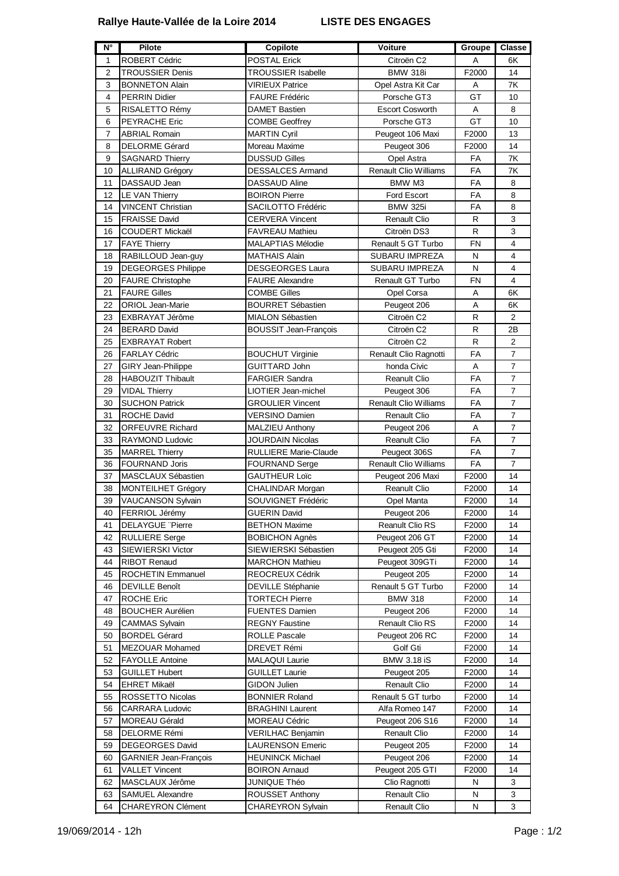## **Rallye Haute-Vallée de la Loire 2014 LISTE DES ENGAGES**

| N°             | <b>Pilote</b>                | <b>Copilote</b>              | <b>Voiture</b>               | Groupe       | <b>Classe</b>  |
|----------------|------------------------------|------------------------------|------------------------------|--------------|----------------|
| 1              | ROBERT Cédric                | <b>POSTAL Erick</b>          | Citroën C2                   | Α            | 6K             |
| $\overline{2}$ | <b>TROUSSIER Denis</b>       | <b>TROUSSIER Isabelle</b>    | <b>BMW 318i</b>              | F2000        | 14             |
| 3              | <b>BONNETON Alain</b>        | VIRIEUX Patrice              | Opel Astra Kit Car           | Α            | 7K             |
| 4              | <b>PERRIN Didier</b>         | <b>FAURE Frédéric</b>        | Porsche GT3                  | GT           | 10             |
| 5              | RISALETTO Rémy               | <b>DAMET Bastien</b>         | <b>Escort Cosworth</b>       | Α            | 8              |
| 6              | PEYRACHE Eric                | <b>COMBE Geoffrey</b>        | Porsche GT3                  | GT           | 10             |
| 7              | <b>ABRIAL Romain</b>         | <b>MARTIN Cyril</b>          | Peugeot 106 Maxi             | F2000        | 13             |
| 8              | <b>DELORME Gérard</b>        | Moreau Maxime                | Peugeot 306                  | F2000        | 14             |
| 9              | <b>SAGNARD Thierry</b>       | <b>DUSSUD Gilles</b>         | Opel Astra                   | FA           | 7Κ             |
| 10             | <b>ALLIRAND Grégory</b>      | DESSALCES Armand             | <b>Renault Clio Williams</b> | FA           | 7Κ             |
| 11             | DASSAUD Jean                 | DASSAUD Aline                | BMW M3                       | FA           | 8              |
| 12             | LE VAN Thierry               | <b>BOIRON Pierre</b>         | Ford Escort                  | FA           | 8              |
| 14             | <b>VINCENT Christian</b>     | SACILOTTO Frédéric           | <b>BMW 325i</b>              | FA           | 8              |
| 15             | <b>FRAISSE David</b>         | <b>CERVERA Vincent</b>       | <b>Renault Clio</b>          | R            | $\mathsf 3$    |
| 16             | COUDERT Mickaël              | <b>FAVREAU Mathieu</b>       | Citroën DS3                  | R            | $\mathsf 3$    |
| 17             | <b>FAYE Thierry</b>          | <b>MALAPTIAS Mélodie</b>     | Renault 5 GT Turbo           | <b>FN</b>    | $\overline{4}$ |
| 18             | RABILLOUD Jean-guy           | <b>MATHAIS Alain</b>         | <b>SUBARU IMPREZA</b>        | N            | $\overline{4}$ |
| 19             | <b>DEGEORGES Philippe</b>    | DESGEORGES Laura             | SUBARU IMPREZA               | N            | $\overline{4}$ |
| 20             | <b>FAURE Christophe</b>      | <b>FAURE Alexandre</b>       | Renault GT Turbo             | <b>FN</b>    | 4              |
| 21             | <b>FAURE Gilles</b>          | <b>COMBE Gilles</b>          | Opel Corsa                   | Α            | 6K             |
| 22             | <b>ORIOL Jean-Marie</b>      | <b>BOURRET Sébastien</b>     | Peugeot 206                  | A            | 6K             |
| 23             | EXBRAYAT Jérôme              | <b>MIALON Sébastien</b>      | Citroën C <sub>2</sub>       | $\mathsf{R}$ | $\overline{2}$ |
| 24             | <b>BERARD David</b>          | <b>BOUSSIT Jean-Francois</b> | Citroën C <sub>2</sub>       | $\mathsf{R}$ | 2Β             |
| 25             | <b>EXBRAYAT Robert</b>       |                              | Citroën C <sub>2</sub>       | $\mathsf{R}$ | $\overline{2}$ |
| 26             | <b>FARLAY Cédric</b>         | <b>BOUCHUT Virginie</b>      | Renault Clio Ragnotti        | FA           | $\overline{7}$ |
| 27             | <b>GIRY Jean-Philippe</b>    | <b>GUITTARD John</b>         | honda Civic                  | A            | $\overline{7}$ |
| 28             | <b>HABOUZIT Thibault</b>     | <b>FARGIER Sandra</b>        | <b>Reanult Clio</b>          | FA           | $\overline{7}$ |
| 29             | <b>VIDAL Thierry</b>         | LIOTIER Jean-michel          | Peugeot 306                  | FA           | $\overline{7}$ |
| 30             | <b>SUCHON Patrick</b>        | <b>GROULIER Vincent</b>      | <b>Renault Clio Williams</b> | FA           | $\overline{7}$ |
| 31             | <b>ROCHE David</b>           | VERSINO Damien               | <b>Renault Clio</b>          | FA           | $\overline{7}$ |
| 32             | <b>ORFEUVRE Richard</b>      | MALZIEU Anthony              | Peugeot 206                  | Α            | $\overline{7}$ |
| 33             | RAYMOND Ludovic              | JOURDAIN Nicolas             | <b>Reanult Clio</b>          | FA           | $\overline{7}$ |
| 35             | <b>MARREL Thierry</b>        | <b>RULLIERE Marie-Claude</b> | Peugeot 306S                 | <b>FA</b>    | $\overline{7}$ |
| 36             | <b>FOURNAND Joris</b>        | <b>FOURNAND Serge</b>        | Renault Clio Williams        | FA           | $\overline{7}$ |
| 37             | MASCLAUX Sébastien           | <b>GAUTHEUR Loïc</b>         | Peugeot 206 Maxi             | F2000        | 14             |
| 38             | <b>MONTEILHET Grégory</b>    | CHALINDAR Morgan             | <b>Reanult Clio</b>          | F2000        | 14             |
| 39             | VAUCANSON Sylvain            | SOUVIGNET Frédéric           | Opel Manta                   | F2000        | 14             |
| 40             | FERRIOL Jérémy               | <b>GUERIN David</b>          | Peugeot 206                  | F2000        | 14             |
| 41             | <b>DELAYGUE</b> "Pierre      | <b>BETHON Maxime</b>         | Reanult Clio RS              | F2000        | 14             |
| 42             | <b>RULLIERE</b> Serge        | <b>BOBICHON Agnès</b>        | Peugeot 206 GT               | F2000        | 14             |
| 43             | SIEWIERSKI Victor            | SIEWIERSKI Sébastien         | Peugeot 205 Gti              | F2000        | 14             |
| 44             | <b>RIBOT Renaud</b>          | <b>MARCHON Mathieu</b>       | Peugeot 309GTi               | F2000        | 14             |
| 45             | <b>ROCHETIN Emmanuel</b>     | REOCREUX Cédrik              | Peugeot 205                  | F2000        | 14             |
| 46             | <b>DEVILLE Benoît</b>        | <b>DEVILLE Stéphanie</b>     | Renault 5 GT Turbo           | F2000        | 14             |
| 47             | <b>ROCHE Eric</b>            | <b>TORTECH Pierre</b>        | <b>BMW 318</b>               | F2000        | 14             |
| 48             | <b>BOUCHER Aurélien</b>      | <b>FUENTES Damien</b>        | Peugeot 206                  | F2000        | 14             |
| 49             | CAMMAS Sylvain               | <b>REGNY Faustine</b>        | <b>Renault Clio RS</b>       | F2000        | 14             |
| 50             | <b>BORDEL Gérard</b>         | <b>ROLLE Pascale</b>         | Peugeot 206 RC               | F2000        | 14             |
| 51             | <b>MEZOUAR Mohamed</b>       | DREVET Rémi                  | Golf Gti                     | F2000        | 14             |
| 52             | <b>FAYOLLE Antoine</b>       | MALAQUI Laurie               | <b>BMW 3.18 iS</b>           | F2000        | 14             |
| 53             | <b>GUILLET Hubert</b>        | <b>GUILLET Laurie</b>        | Peugeot 205                  | F2000        | 14             |
| 54             | <b>EHRET Mikaël</b>          | <b>GIDON Julien</b>          | <b>Renault Clio</b>          | F2000        | 14             |
| 55             | ROSSETTO Nicolas             | <b>BONNIER Roland</b>        | Renault 5 GT turbo           | F2000        | 14             |
| 56             | <b>CARRARA Ludovic</b>       | <b>BRAGHINI Laurent</b>      | Alfa Romeo 147               | F2000        | 14             |
| 57             | MOREAU Gérald                | <b>MOREAU Cédric</b>         | Peugeot 206 S16              | F2000        | 14             |
| 58             | DELORME Rémi                 | <b>VERILHAC Benjamin</b>     | Renault Clio                 | F2000        | 14             |
| 59             | <b>DEGEORGES David</b>       | LAURENSON Emeric             | Peugeot 205                  | F2000        | 14             |
| 60             | <b>GARNIER Jean-François</b> | <b>HEUNINCK Michael</b>      | Peugeot 206                  | F2000        | 14             |
| 61             | <b>VALLET Vincent</b>        | <b>BOIRON Arnaud</b>         | Peugeot 205 GTI              | F2000        | 14             |
| 62             | MASCLAUX Jérôme              | JUNIQUE Théo                 | Clio Ragnotti                | N            | 3              |
| 63             | SAMUEL Alexandre             | ROUSSET Anthony              | Renault Clio                 | N            | 3              |
| 64             | CHAREYRON Clément            | CHAREYRON Sylvain            | <b>Renault Clio</b>          | N            | 3              |